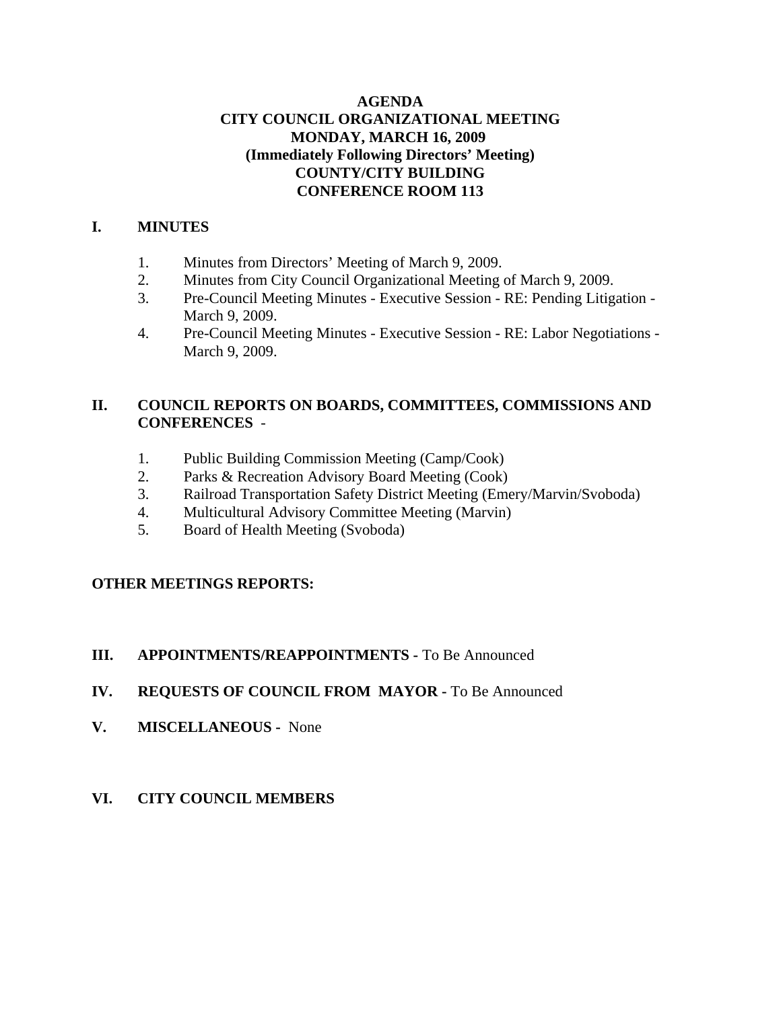### **AGENDA CITY COUNCIL ORGANIZATIONAL MEETING MONDAY, MARCH 16, 2009 (Immediately Following Directors' Meeting) COUNTY/CITY BUILDING CONFERENCE ROOM 113**

### **I. MINUTES**

- 1. Minutes from Directors' Meeting of March 9, 2009.
- 2. Minutes from City Council Organizational Meeting of March 9, 2009.
- 3. Pre-Council Meeting Minutes Executive Session RE: Pending Litigation March 9, 2009.
- 4. Pre-Council Meeting Minutes Executive Session RE: Labor Negotiations March 9, 2009.

## **II. COUNCIL REPORTS ON BOARDS, COMMITTEES, COMMISSIONS AND CONFERENCES** -

- 1. Public Building Commission Meeting (Camp/Cook)
- 2. Parks & Recreation Advisory Board Meeting (Cook)
- 3. Railroad Transportation Safety District Meeting (Emery/Marvin/Svoboda)
- 4. Multicultural Advisory Committee Meeting (Marvin)
- 5. Board of Health Meeting (Svoboda)

### **OTHER MEETINGS REPORTS:**

### **III. APPOINTMENTS/REAPPOINTMENTS -** To Be Announced

- **IV. REQUESTS OF COUNCIL FROM MAYOR -** To Be Announced
- **V. MISCELLANEOUS -** None
- **VI. CITY COUNCIL MEMBERS**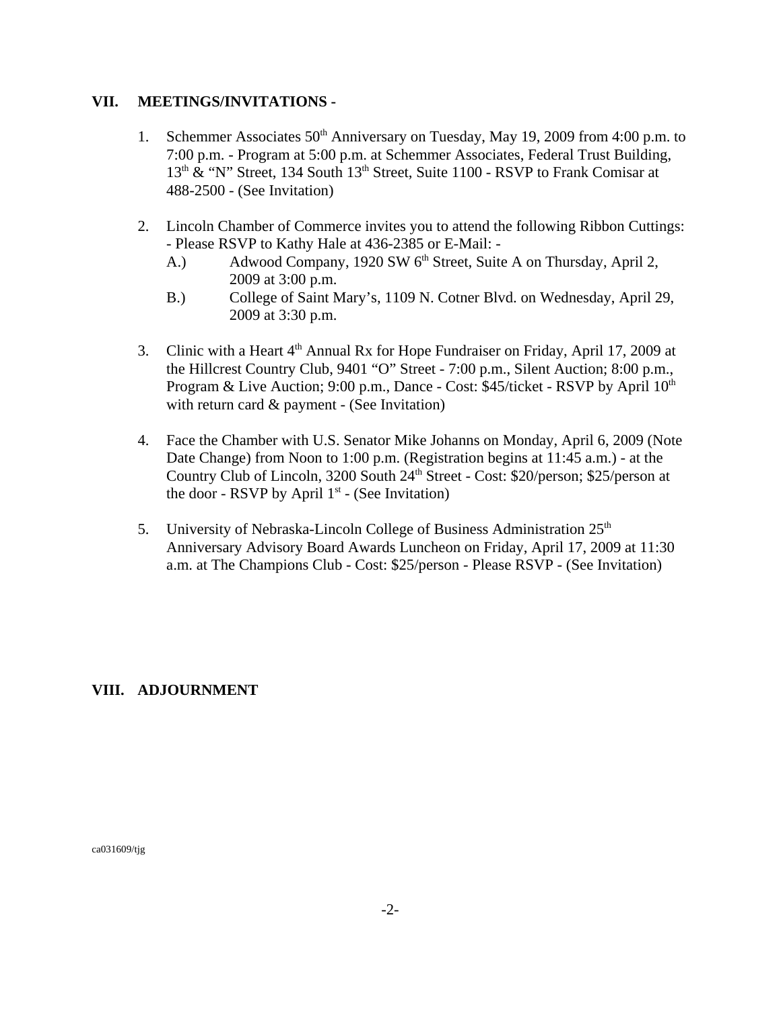#### **VII. MEETINGS/INVITATIONS -**

- 1. Schemmer Associates 50<sup>th</sup> Anniversary on Tuesday, May 19, 2009 from 4:00 p.m. to 7:00 p.m. - Program at 5:00 p.m. at Schemmer Associates, Federal Trust Building,  $13<sup>th</sup>$  & "N" Street, 134 South  $13<sup>th</sup>$  Street, Suite 1100 - RSVP to Frank Comisar at 488-2500 - (See Invitation)
- 2. Lincoln Chamber of Commerce invites you to attend the following Ribbon Cuttings: - Please RSVP to Kathy Hale at 436-2385 or E-Mail: -
	- A.) Adwood Company, 1920 SW 6<sup>th</sup> Street, Suite A on Thursday, April 2, 2009 at 3:00 p.m.
	- B.) College of Saint Mary's, 1109 N. Cotner Blvd. on Wednesday, April 29, 2009 at 3:30 p.m.
- 3. Clinic with a Heart 4<sup>th</sup> Annual Rx for Hope Fundraiser on Friday, April 17, 2009 at the Hillcrest Country Club, 9401 "O" Street - 7:00 p.m., Silent Auction; 8:00 p.m., Program & Live Auction; 9:00 p.m., Dance - Cost:  $$45/ticket$  - RSVP by April  $10<sup>th</sup>$ with return card & payment - (See Invitation)
- 4. Face the Chamber with U.S. Senator Mike Johanns on Monday, April 6, 2009 (Note Date Change) from Noon to 1:00 p.m. (Registration begins at 11:45 a.m.) - at the Country Club of Lincoln, 3200 South 24<sup>th</sup> Street - Cost: \$20/person; \$25/person at the door - RSVP by April  $1<sup>st</sup>$  - (See Invitation)
- 5. University of Nebraska-Lincoln College of Business Administration 25<sup>th</sup> Anniversary Advisory Board Awards Luncheon on Friday, April 17, 2009 at 11:30 a.m. at The Champions Club - Cost: \$25/person - Please RSVP - (See Invitation)

### **VIII. ADJOURNMENT**

ca031609/tjg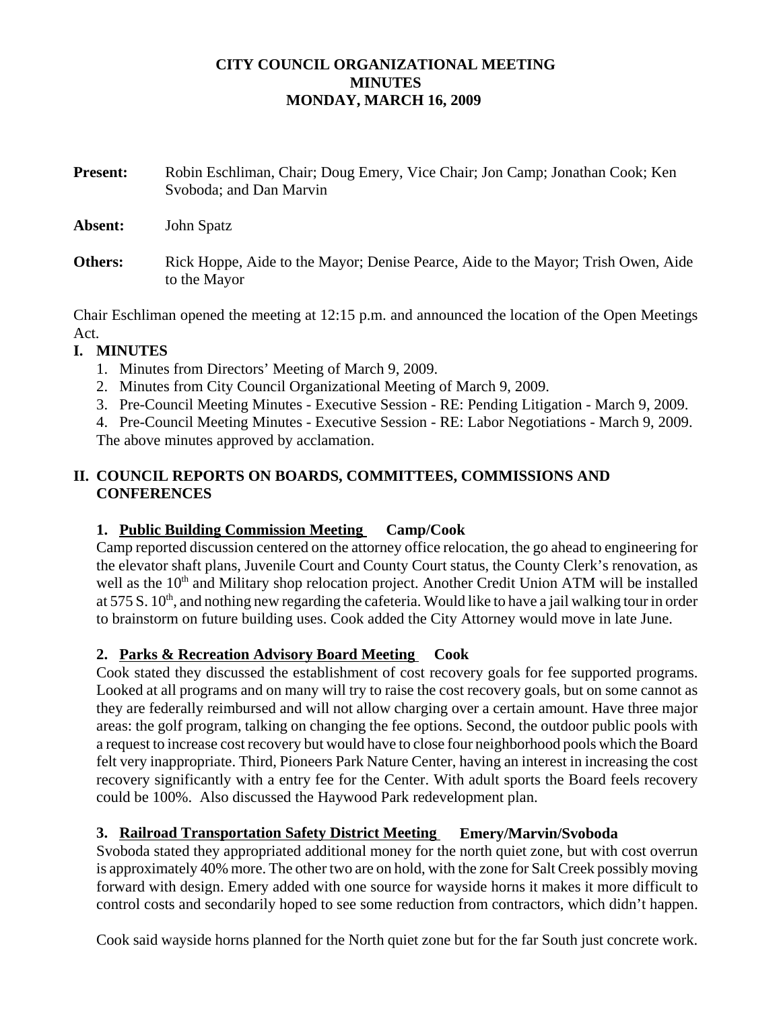### **CITY COUNCIL ORGANIZATIONAL MEETING MINUTES MONDAY, MARCH 16, 2009**

- **Present:** Robin Eschliman, Chair; Doug Emery, Vice Chair; Jon Camp; Jonathan Cook; Ken Svoboda; and Dan Marvin **Absent:** John Spatz
- **Others:** Rick Hoppe, Aide to the Mayor; Denise Pearce, Aide to the Mayor; Trish Owen, Aide to the Mayor

Chair Eschliman opened the meeting at 12:15 p.m. and announced the location of the Open Meetings Act.

# **I. MINUTES**

- 1. Minutes from Directors' Meeting of March 9, 2009.
- 2. Minutes from City Council Organizational Meeting of March 9, 2009.
- 3. Pre-Council Meeting Minutes Executive Session RE: Pending Litigation March 9, 2009.

4. Pre-Council Meeting Minutes - Executive Session - RE: Labor Negotiations - March 9, 2009. The above minutes approved by acclamation.

## **II. COUNCIL REPORTS ON BOARDS, COMMITTEES, COMMISSIONS AND CONFERENCES**

# **1. Public Building Commission Meeting Camp/Cook**

Camp reported discussion centered on the attorney office relocation, the go ahead to engineering for the elevator shaft plans, Juvenile Court and County Court status, the County Clerk's renovation, as well as the 10<sup>th</sup> and Military shop relocation project. Another Credit Union ATM will be installed at 575 S. 10<sup>th</sup>, and nothing new regarding the cafeteria. Would like to have a jail walking tour in order to brainstorm on future building uses. Cook added the City Attorney would move in late June.

# **2. Parks & Recreation Advisory Board Meeting Cook**

Cook stated they discussed the establishment of cost recovery goals for fee supported programs. Looked at all programs and on many will try to raise the cost recovery goals, but on some cannot as they are federally reimbursed and will not allow charging over a certain amount. Have three major areas: the golf program, talking on changing the fee options. Second, the outdoor public pools with a request to increase cost recovery but would have to close four neighborhood pools which the Board felt very inappropriate. Third, Pioneers Park Nature Center, having an interest in increasing the cost recovery significantly with a entry fee for the Center. With adult sports the Board feels recovery could be 100%. Also discussed the Haywood Park redevelopment plan.

# **3. Railroad Transportation Safety District Meeting Emery/Marvin/Svoboda**

Svoboda stated they appropriated additional money for the north quiet zone, but with cost overrun is approximately 40% more. The other two are on hold, with the zone for Salt Creek possibly moving forward with design. Emery added with one source for wayside horns it makes it more difficult to control costs and secondarily hoped to see some reduction from contractors, which didn't happen.

Cook said wayside horns planned for the North quiet zone but for the far South just concrete work.